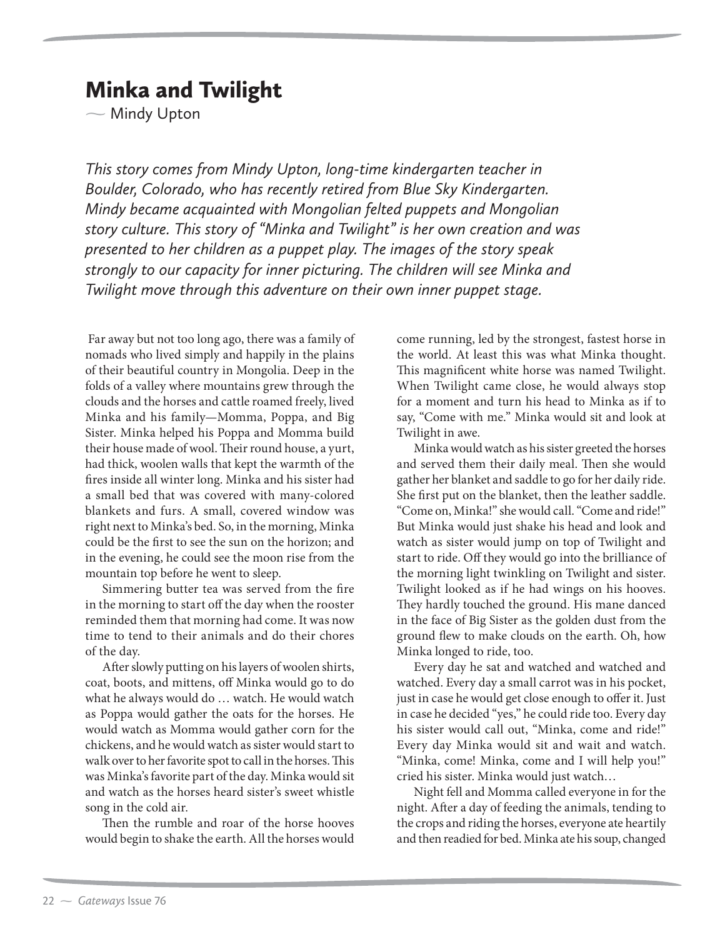## Minka and Twilight

— Mindy Upton

*This story comes from Mindy Upton, long-time kindergarten teacher in Boulder, Colorado, who has recently retired from Blue Sky Kindergarten. Mindy became acquainted with Mongolian felted puppets and Mongolian story culture. This story of "Minka and Twilight" is her own creation and was presented to her children as a puppet play. The images of the story speak strongly to our capacity for inner picturing. The children will see Minka and Twilight move through this adventure on their own inner puppet stage.*

 Far away but not too long ago, there was a family of nomads who lived simply and happily in the plains of their beautiful country in Mongolia. Deep in the folds of a valley where mountains grew through the clouds and the horses and cattle roamed freely, lived Minka and his family—Momma, Poppa, and Big Sister. Minka helped his Poppa and Momma build their house made of wool. Their round house, a yurt, had thick, woolen walls that kept the warmth of the fires inside all winter long. Minka and his sister had a small bed that was covered with many-colored blankets and furs. A small, covered window was right next to Minka's bed. So, in the morning, Minka could be the first to see the sun on the horizon; and in the evening, he could see the moon rise from the mountain top before he went to sleep.

Simmering butter tea was served from the fire in the morning to start off the day when the rooster reminded them that morning had come. It was now time to tend to their animals and do their chores of the day.

After slowly putting on his layers of woolen shirts, coat, boots, and mittens, off Minka would go to do what he always would do … watch. He would watch as Poppa would gather the oats for the horses. He would watch as Momma would gather corn for the chickens, and he would watch as sister would start to walk over to her favorite spot to call in the horses. This was Minka's favorite part of the day. Minka would sit and watch as the horses heard sister's sweet whistle song in the cold air.

Then the rumble and roar of the horse hooves would begin to shake the earth. All the horses would

come running, led by the strongest, fastest horse in the world. At least this was what Minka thought. This magnificent white horse was named Twilight. When Twilight came close, he would always stop for a moment and turn his head to Minka as if to say, "Come with me." Minka would sit and look at Twilight in awe.

Minka would watch as his sister greeted the horses and served them their daily meal. Then she would gather her blanket and saddle to go for her daily ride. She first put on the blanket, then the leather saddle. "Come on, Minka!" she would call. "Come and ride!" But Minka would just shake his head and look and watch as sister would jump on top of Twilight and start to ride. Off they would go into the brilliance of the morning light twinkling on Twilight and sister. Twilight looked as if he had wings on his hooves. They hardly touched the ground. His mane danced in the face of Big Sister as the golden dust from the ground flew to make clouds on the earth. Oh, how Minka longed to ride, too.

Every day he sat and watched and watched and watched. Every day a small carrot was in his pocket, just in case he would get close enough to offer it. Just in case he decided "yes," he could ride too. Every day his sister would call out, "Minka, come and ride!" Every day Minka would sit and wait and watch. "Minka, come! Minka, come and I will help you!" cried his sister. Minka would just watch…

Night fell and Momma called everyone in for the night. After a day of feeding the animals, tending to the crops and riding the horses, everyone ate heartily and then readied for bed. Minka ate his soup, changed